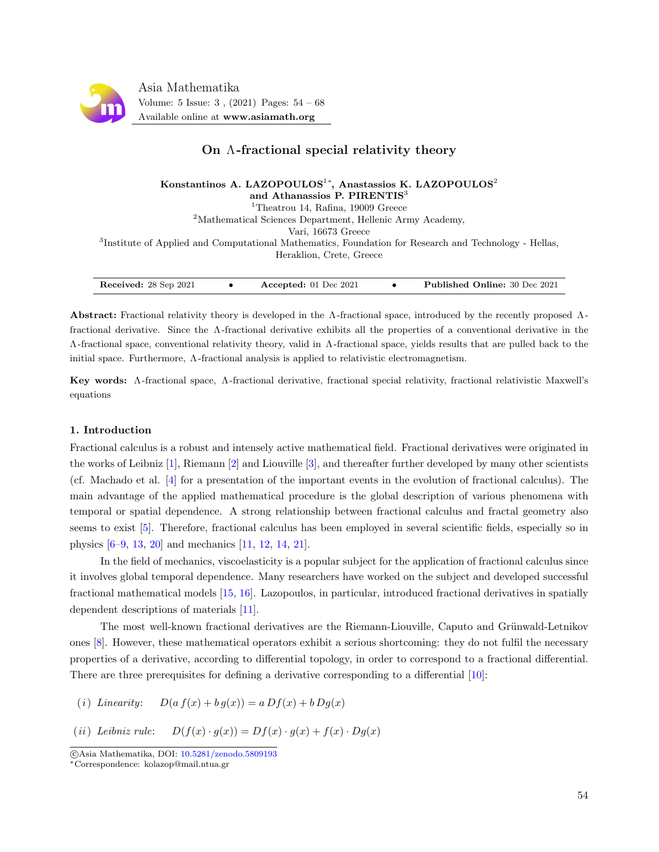

# On Λ-fractional special relativity theory

Konstantinos A. LAZOPOULOS<sup>1</sup>\*, Anastassios K. LAZOPOULOS<sup>2</sup> and Athanassios P. PIRENTIS<sup>3</sup>

<sup>1</sup>Theatrou 14, Rafina, 19009 Greece <sup>2</sup>Mathematical Sciences Department, Hellenic Army Academy, Vari, 16673 Greece <sup>3</sup>Institute of Applied and Computational Mathematics, Foundation for Research and Technology - Hellas, Heraklion, Crete, Greece

| Received: 28 Sep 2021 | Accepted: $01$ Dec $2021$ | <b>Published Online: 30 Dec 2021</b> |
|-----------------------|---------------------------|--------------------------------------|
|                       |                           |                                      |

Abstract: Fractional relativity theory is developed in the Λ-fractional space, introduced by the recently proposed Λfractional derivative. Since the Λ -fractional derivative exhibits all the properties of a conventional derivative in the Λ -fractional space, conventional relativity theory, valid in Λ -fractional space, yields results that are pulled back to the initial space. Furthermore,  $\Lambda$ -fractional analysis is applied to relativistic electromagnetism.

Key words: Λ -fractional space, Λ -fractional derivative, fractional special relativity, fractional relativistic Maxwell's equations

## 1. Introduction

Fractional calculus is a robust and intensely active mathematical field. Fractional derivatives were originated in the works of Leibniz [\[1\]](#page-12-0), Riemann [\[2\]](#page-12-1) and Liouville [\[3\]](#page-12-2), and thereafter further developed by many other scientists (cf. Machado et al. [\[4\]](#page-12-3) for a presentation of the important events in the evolution of fractional calculus). The main advantage of the applied mathematical procedure is the global description of various phenomena with temporal or spatial dependence. A strong relationship between fractional calculus and fractal geometry also seems to exist [\[5\]](#page-12-4). Therefore, fractional calculus has been employed in several scientific fields, especially so in physics [\[6](#page-13-0)[–9,](#page-13-1) [13,](#page-13-2) [20\]](#page-13-3) and mechanics [\[11,](#page-13-4) [12,](#page-13-5) [14,](#page-13-6) [21\]](#page-13-7).

In the field of mechanics, viscoelasticity is a popular subject for the application of fractional calculus since it involves global temporal dependence. Many researchers have worked on the subject and developed successful fractional mathematical models [\[15,](#page-13-8) [16\]](#page-13-9). Lazopoulos, in particular, introduced fractional derivatives in spatially dependent descriptions of materials [\[11\]](#page-13-4).

The most well-known fractional derivatives are the Riemann-Liouville, Caputo and Grünwald-Letnikov ones [\[8\]](#page-13-10). However, these mathematical operators exhibit a serious shortcoming: they do not fulfil the necessary properties of a derivative, according to differential topology, in order to correspond to a fractional differential. There are three prerequisites for defining a derivative corresponding to a differential [\[10\]](#page-13-11):

(i) Linearity:  $D(a f(x) + b g(x)) = a Df(x) + b Dg(x)$ 

(ii) Leibniz rule:  $D(f(x) \cdot g(x)) = Df(x) \cdot g(x) + f(x) \cdot Dg(x)$ 

c Asia Mathematika, DOI: [10.5281/zenodo.5809193](http://www.asiamath.org/article/vol5iss3/AM-2112-3003.pdf)

<sup>∗</sup>Correspondence: kolazop@mail.ntua.gr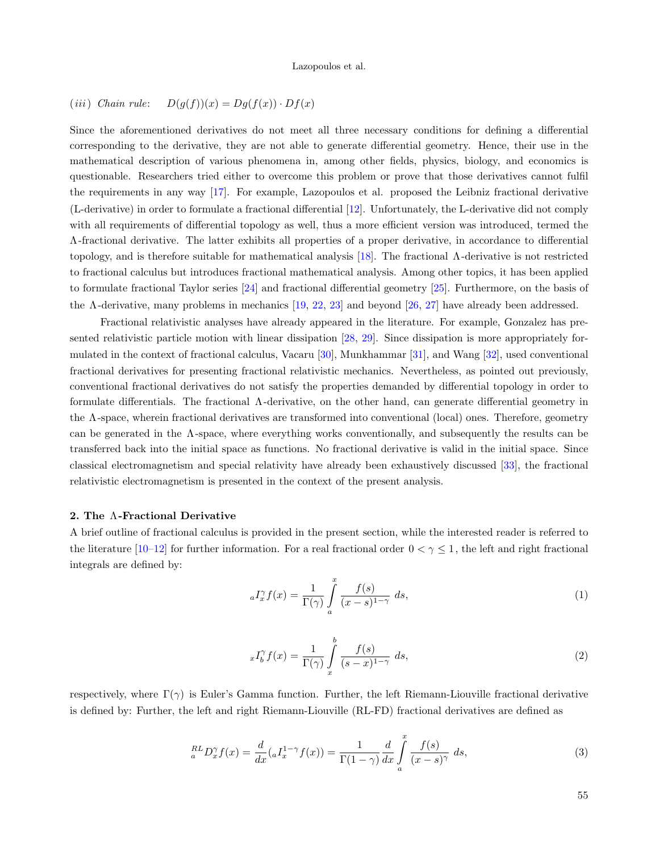# (iii) Chain rule:  $D(g(f))(x) = Dg(f(x)) \cdot Df(x)$

Since the aforementioned derivatives do not meet all three necessary conditions for defining a differential corresponding to the derivative, they are not able to generate differential geometry. Hence, their use in the mathematical description of various phenomena in, among other fields, physics, biology, and economics is questionable. Researchers tried either to overcome this problem or prove that those derivatives cannot fulfil the requirements in any way [\[17\]](#page-13-12). For example, Lazopoulos et al. proposed the Leibniz fractional derivative (L-derivative) in order to formulate a fractional differential [\[12\]](#page-13-5). Unfortunately, the L-derivative did not comply with all requirements of differential topology as well, thus a more efficient version was introduced, termed the Λ -fractional derivative. The latter exhibits all properties of a proper derivative, in accordance to differential topology, and is therefore suitable for mathematical analysis [\[18\]](#page-13-13). The fractional Λ -derivative is not restricted to fractional calculus but introduces fractional mathematical analysis. Among other topics, it has been applied to formulate fractional Taylor series [\[24\]](#page-13-14) and fractional differential geometry [\[25\]](#page-13-15). Furthermore, on the basis of the  $\Lambda$ -derivative, many problems in mechanics [\[19,](#page-13-16) [22,](#page-13-17) [23\]](#page-13-18) and beyond [\[26,](#page-13-19) [27\]](#page-13-20) have already been addressed.

Fractional relativistic analyses have already appeared in the literature. For example, Gonzalez has presented relativistic particle motion with linear dissipation [\[28,](#page-13-21) [29\]](#page-13-22). Since dissipation is more appropriately formulated in the context of fractional calculus, Vacaru [\[30\]](#page-13-23), Munkhammar [\[31\]](#page-14-0), and Wang [\[32\]](#page-14-1), used conventional fractional derivatives for presenting fractional relativistic mechanics. Nevertheless, as pointed out previously, conventional fractional derivatives do not satisfy the properties demanded by differential topology in order to formulate differentials. The fractional Λ -derivative, on the other hand, can generate differential geometry in the Λ -space, wherein fractional derivatives are transformed into conventional (local) ones. Therefore, geometry can be generated in the Λ -space, where everything works conventionally, and subsequently the results can be transferred back into the initial space as functions. No fractional derivative is valid in the initial space. Since classical electromagnetism and special relativity have already been exhaustively discussed [\[33\]](#page-14-2), the fractional relativistic electromagnetism is presented in the context of the present analysis.

### 2. The Λ-Fractional Derivative

A brief outline of fractional calculus is provided in the present section, while the interested reader is referred to the literature  $[10-12]$  $[10-12]$  for further information. For a real fractional order  $0 < \gamma \leq 1$ , the left and right fractional integrals are defined by:

$$
{}_{a}I_{x}^{\gamma}f(x) = \frac{1}{\Gamma(\gamma)} \int_{a}^{x} \frac{f(s)}{(x-s)^{1-\gamma}} ds,
$$
\n(1)

<span id="page-1-0"></span>
$$
{}_{x}I_{b}^{\gamma}f(x) = \frac{1}{\Gamma(\gamma)} \int\limits_{x}^{b} \frac{f(s)}{(s-x)^{1-\gamma}} ds,
$$
\n(2)

respectively, where  $\Gamma(\gamma)$  is Euler's Gamma function. Further, the left Riemann-Liouville fractional derivative is defined by: Further, the left and right Riemann-Liouville (RL-FD) fractional derivatives are defined as

$$
{}_{a}^{RL}D_{x}^{\gamma}f(x) = \frac{d}{dx}({}_{a}I_{x}^{1-\gamma}f(x)) = \frac{1}{\Gamma(1-\gamma)}\frac{d}{dx}\int_{a}^{x}\frac{f(s)}{(x-s)^{\gamma}}ds,\tag{3}
$$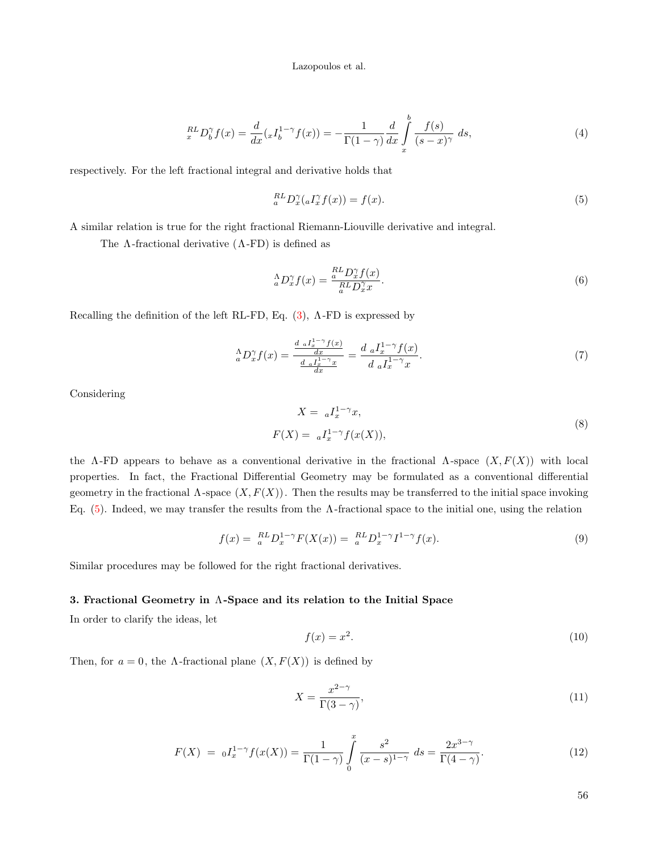$$
{}_{x}^{RL}D_{b}^{\gamma}f(x) = \frac{d}{dx}({}_{x}I_{b}^{1-\gamma}f(x)) = -\frac{1}{\Gamma(1-\gamma)}\frac{d}{dx}\int_{x}^{b}\frac{f(s)}{(s-x)^{\gamma}}ds,
$$
\n(4)

respectively. For the left fractional integral and derivative holds that

<span id="page-2-0"></span>
$$
{}_{a}^{RL}D_{x}^{\gamma}({}_{a}I_{x}^{\gamma}f(x))=f(x). \tag{5}
$$

A similar relation is true for the right fractional Riemann-Liouville derivative and integral.

The  $\Lambda$ -fractional derivative  $(\Lambda$ -FD) is defined as

$$
{}_{a}^{\Lambda}D_{x}^{\gamma}f(x) = \frac{{}_{a}^{RL}D_{x}^{\gamma}f(x)}{{}_{a}^{RL}D_{x}^{\gamma}x}.
$$
\n
$$
(6)
$$

Recalling the definition of the left RL-FD, Eq.  $(3)$ ,  $\Lambda$ -FD is expressed by

$$
\underset{a}{\Lambda}D_{x}^{\gamma}f(x) = \frac{\frac{d_{a}I_{x}^{1-\gamma}f(x)}{dx}}{\frac{d_{a}I_{x}^{1-\gamma}x}{dx}} = \frac{d_{a}I_{x}^{1-\gamma}f(x)}{d_{a}I_{x}^{1-\gamma}x}.
$$
\n<sup>(7)</sup>

<span id="page-2-3"></span>Considering

$$
X = aI_x^{1-\gamma}x,
$$
  
\n
$$
F(X) = aI_x^{1-\gamma}f(x(X)),
$$
\n(8)

the Λ-FD appears to behave as a conventional derivative in the fractional Λ-space  $(X, F(X))$  with local properties. In fact, the Fractional Differential Geometry may be formulated as a conventional differential geometry in the fractional Λ-space  $(X, F(X))$ . Then the results may be transferred to the initial space invoking Eq. [\(5\)](#page-2-0). Indeed, we may transfer the results from the Λ -fractional space to the initial one, using the relation

$$
f(x) = \, _a^{RL} D_x^{1-\gamma} F(X(x)) = \, _a^{RL} D_x^{1-\gamma} I^{1-\gamma} f(x). \tag{9}
$$

Similar procedures may be followed for the right fractional derivatives.

### 3. Fractional Geometry in Λ-Space and its relation to the Initial Space

In order to clarify the ideas, let

<span id="page-2-1"></span>
$$
f(x) = x^2. \tag{10}
$$

<span id="page-2-2"></span>Then, for  $a = 0$ , the  $\Lambda$ -fractional plane  $(X, F(X))$  is defined by

$$
X = \frac{x^{2-\gamma}}{\Gamma(3-\gamma)},\tag{11}
$$

$$
F(X) = 0 I_x^{1-\gamma} f(x(X)) = \frac{1}{\Gamma(1-\gamma)} \int_0^x \frac{s^2}{(x-s)^{1-\gamma}} ds = \frac{2x^{3-\gamma}}{\Gamma(4-\gamma)}.
$$
 (12)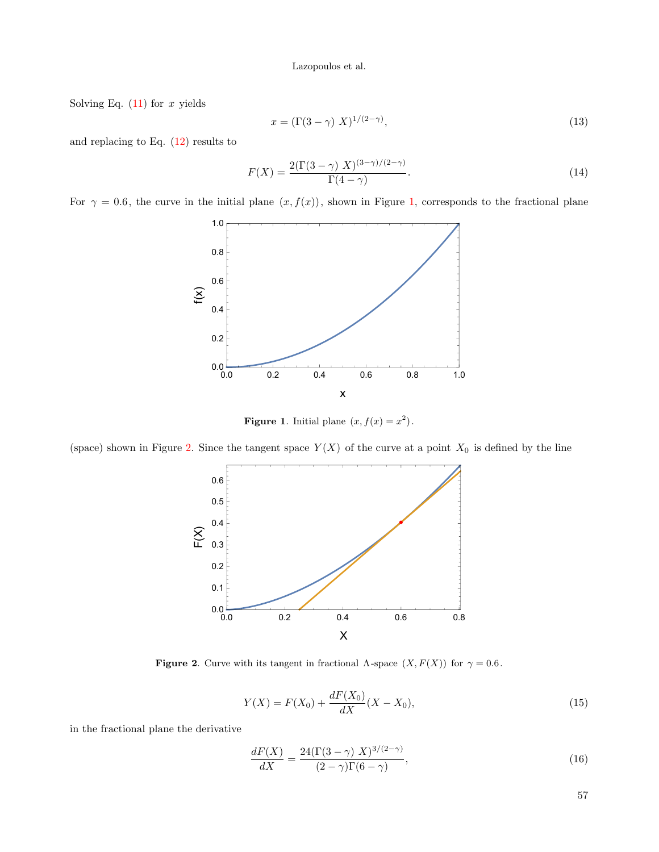Solving Eq.  $(11)$  for x yields

$$
x = (\Gamma(3 - \gamma) X)^{1/(2 - \gamma)}, \tag{13}
$$

and replacing to Eq. [\(12\)](#page-2-2) results to

$$
F(X) = \frac{2(\Gamma(3-\gamma) X)^{(3-\gamma)/(2-\gamma)}}{\Gamma(4-\gamma)}.
$$
\n(14)

For  $\gamma = 0.6$ , the curve in the initial plane  $(x, f(x))$ , shown in Figure [1,](#page-3-0) corresponds to the fractional plane



<span id="page-3-0"></span>**Figure 1.** Initial plane  $(x, f(x) = x^2)$ .

(space) shown in Figure [2.](#page-3-1) Since the tangent space  $Y(X)$  of the curve at a point  $X_0$  is defined by the line



<span id="page-3-1"></span>**Figure 2.** Curve with its tangent in fractional  $\Lambda$ -space  $(X, F(X))$  for  $\gamma = 0.6$ .

$$
Y(X) = F(X_0) + \frac{dF(X_0)}{dX}(X - X_0),\tag{15}
$$

in the fractional plane the derivative

$$
\frac{dF(X)}{dX} = \frac{24(\Gamma(3-\gamma)X)^{3/(2-\gamma)}}{(2-\gamma)\Gamma(6-\gamma)},\tag{16}
$$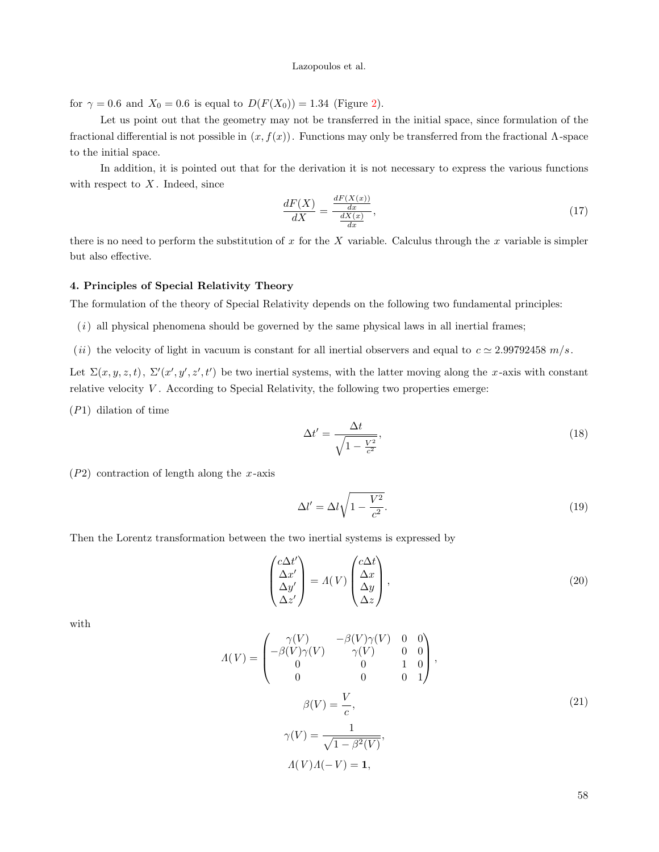for  $\gamma = 0.6$  and  $X_0 = 0.6$  is equal to  $D(F(X_0)) = 1.34$  (Figure [2\)](#page-3-1).

Let us point out that the geometry may not be transferred in the initial space, since formulation of the fractional differential is not possible in  $(x, f(x))$ . Functions may only be transferred from the fractional  $\Lambda$ -space to the initial space.

In addition, it is pointed out that for the derivation it is not necessary to express the various functions with respect to  $X$ . Indeed, since

$$
\frac{dF(X)}{dX} = \frac{\frac{dF(X(x))}{dx}}{\frac{dX(x)}{dx}},\tag{17}
$$

there is no need to perform the substitution of x for the X variable. Calculus through the x variable is simpler but also effective.

### 4. Principles of Special Relativity Theory

The formulation of the theory of Special Relativity depends on the following two fundamental principles:

- $(i)$  all physical phenomena should be governed by the same physical laws in all inertial frames;
- (ii) the velocity of light in vacuum is constant for all inertial observers and equal to  $c \approx 2.99792458$  m/s.

Let  $\Sigma(x, y, z, t)$ ,  $\Sigma'(x', y', z', t')$  be two inertial systems, with the latter moving along the x-axis with constant relative velocity  $V$ . According to Special Relativity, the following two properties emerge:

(P1) dilation of time

$$
\Delta t' = \frac{\Delta t}{\sqrt{1 - \frac{V^2}{c^2}}},\tag{18}
$$

 $(P2)$  contraction of length along the x-axis

$$
\Delta l' = \Delta l \sqrt{1 - \frac{V^2}{c^2}}.\tag{19}
$$

Then the Lorentz transformation between the two inertial systems is expressed by

$$
\begin{pmatrix} c\Delta t' \\ \Delta x' \\ \Delta y' \\ \Delta z' \end{pmatrix} = \Lambda(V) \begin{pmatrix} c\Delta t \\ \Delta x \\ \Delta y \\ \Delta z \end{pmatrix},
$$
\n(20)

<span id="page-4-0"></span>with

$$
A(V) = \begin{pmatrix} \gamma(V) & -\beta(V)\gamma(V) & 0 & 0\\ -\beta(V)\gamma(V) & \gamma(V) & 0 & 0\\ 0 & 0 & 1 & 0\\ 0 & 0 & 0 & 1 \end{pmatrix},
$$
  
\n
$$
\beta(V) = \frac{V}{c},
$$
  
\n
$$
\gamma(V) = \frac{1}{\sqrt{1 - \beta^2(V)}},
$$
  
\n
$$
A(V)A(-V) = 1,
$$
\n(21)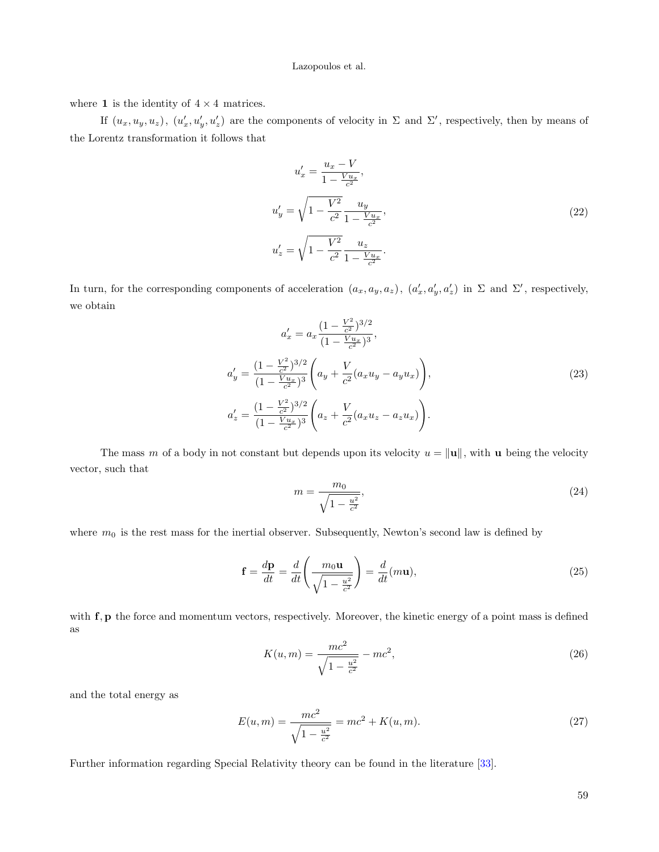where 1 is the identity of  $4 \times 4$  matrices.

If  $(u_x, u_y, u_z)$ ,  $(u'_x, u'_y, u'_z)$  are the components of velocity in  $\Sigma$  and  $\Sigma'$ , respectively, then by means of the Lorentz transformation it follows that

$$
u'_{x} = \frac{u_{x} - V}{1 - \frac{Vu_{x}}{c^{2}}},
$$
  
\n
$$
u'_{y} = \sqrt{1 - \frac{V^{2}}{c^{2}}} \frac{u_{y}}{1 - \frac{Vu_{x}}{c^{2}}},
$$
  
\n
$$
u'_{z} = \sqrt{1 - \frac{V^{2}}{c^{2}}} \frac{u_{z}}{1 - \frac{Vu_{x}}{c^{2}}}. \tag{22}
$$

In turn, for the corresponding components of acceleration  $(a_x, a_y, a_z)$ ,  $(a'_x, a'_y, a'_z)$  in  $\Sigma$  and  $\Sigma'$ , respectively, we obtain

$$
a'_{x} = a_{x} \frac{\left(1 - \frac{V^{2}}{c^{2}}\right)^{3/2}}{\left(1 - \frac{V u_{x}}{c^{2}}\right)^{3}},
$$
  
\n
$$
a'_{y} = \frac{\left(1 - \frac{V^{2}}{c^{2}}\right)^{3/2}}{\left(1 - \frac{V u_{x}}{c^{2}}\right)^{3}} \left(a_{y} + \frac{V}{c^{2}}(a_{x} u_{y} - a_{y} u_{x})\right),
$$
  
\n
$$
a'_{z} = \frac{\left(1 - \frac{V^{2}}{c^{2}}\right)^{3/2}}{\left(1 - \frac{V u_{x}}{c^{2}}\right)^{3}} \left(a_{z} + \frac{V}{c^{2}}(a_{x} u_{z} - a_{z} u_{x})\right).
$$
\n(23)

<span id="page-5-0"></span>The mass m of a body in not constant but depends upon its velocity  $u = ||\mathbf{u}||$ , with  $\mathbf{u}$  being the velocity vector, such that

$$
m = \frac{m_0}{\sqrt{1 - \frac{u^2}{c^2}}},\tag{24}
$$

where  $m_0$  is the rest mass for the inertial observer. Subsequently, Newton's second law is defined by

$$
\mathbf{f} = \frac{d\mathbf{p}}{dt} = \frac{d}{dt} \left( \frac{m_0 \mathbf{u}}{\sqrt{1 - \frac{u^2}{c^2}}} \right) = \frac{d}{dt} (m \mathbf{u}),
$$
\n(25)

with f, p the force and momentum vectors, respectively. Moreover, the kinetic energy of a point mass is defined as

$$
K(u,m) = \frac{mc^2}{\sqrt{1 - \frac{u^2}{c^2}}} - mc^2,
$$
\n(26)

and the total energy as

$$
E(u,m) = \frac{mc^2}{\sqrt{1 - \frac{u^2}{c^2}}} = mc^2 + K(u,m).
$$
\n(27)

Further information regarding Special Relativity theory can be found in the literature [\[33\]](#page-14-2).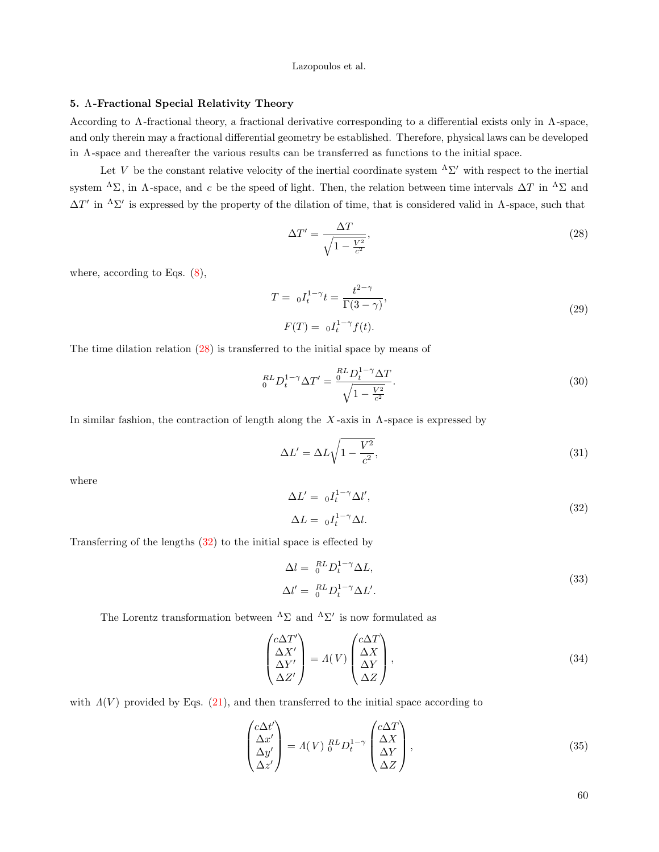# 5. Λ-Fractional Special Relativity Theory

According to  $\Lambda$ -fractional theory, a fractional derivative corresponding to a differential exists only in  $\Lambda$ -space, and only therein may a fractional differential geometry be established. Therefore, physical laws can be developed in  $\Lambda$ -space and thereafter the various results can be transferred as functions to the initial space.

Let V be the constant relative velocity of the inertial coordinate system  ${}^{\Lambda}\Sigma'$  with respect to the inertial system  $^{\Lambda}\Sigma$ , in  $\Lambda$ -space, and c be the speed of light. Then, the relation between time intervals  $\Delta T$  in  $^{\Lambda}\Sigma$  and  $\Delta T'$  in  $\Delta \Sigma'$  is expressed by the property of the dilation of time, that is considered valid in  $\Lambda$ -space, such that

<span id="page-6-0"></span>
$$
\Delta T' = \frac{\Delta T}{\sqrt{1 - \frac{V^2}{c^2}}},\tag{28}
$$

where, according to Eqs. [\(8\)](#page-2-3),

<span id="page-6-2"></span>
$$
T = {}_0I_t^{1-\gamma} t = \frac{t^{2-\gamma}}{\Gamma(3-\gamma)},
$$
  
\n
$$
F(T) = {}_0I_t^{1-\gamma} f(t).
$$
\n(29)

The time dilation relation [\(28\)](#page-6-0) is transferred to the initial space by means of

$$
{}_{0}^{RL}D_{t}^{1-\gamma}\Delta T' = \frac{{}_{0}^{RL}D_{t}^{1-\gamma}\Delta T}{{}_{\sqrt{1-\frac{V^{2}}{c^{2}}}}}. \tag{30}
$$

In similar fashion, the contraction of length along the X-axis in  $\Lambda$ -space is expressed by

$$
\Delta L' = \Delta L \sqrt{1 - \frac{V^2}{c^2}},\tag{31}
$$

<span id="page-6-1"></span>where

$$
\Delta L' = 0 I_t^{1-\gamma} \Delta l',
$$
  
\n
$$
\Delta L = 0 I_t^{1-\gamma} \Delta l.
$$
\n(32)

Transferring of the lengths [\(32\)](#page-6-1) to the initial space is effected by

$$
\Delta l = \, _0^{RL} D_t^{1-\gamma} \Delta L, \n\Delta l' = \, _0^{RL} D_t^{1-\gamma} \Delta L'.
$$
\n(33)

The Lorentz transformation between  ${}^{\Lambda}\Sigma$  and  ${}^{\Lambda}\Sigma'$  is now formulated as

$$
\begin{pmatrix} c\Delta T' \\ \Delta X' \\ \Delta Y' \\ \Delta Z' \end{pmatrix} = \Lambda(V) \begin{pmatrix} c\Delta T \\ \Delta X \\ \Delta Y \\ \Delta Z \end{pmatrix},
$$
\n(34)

with  $\Lambda(V)$  provided by Eqs. [\(21\)](#page-4-0), and then transferred to the initial space according to

$$
\begin{pmatrix} c\Delta t' \\ \Delta x' \\ \Delta y' \\ \Delta z' \end{pmatrix} = A(V) \stackrel{RL}{\circ} D_t^{1-\gamma} \begin{pmatrix} c\Delta T \\ \Delta X \\ \Delta Y \\ \Delta Z \end{pmatrix},
$$
\n(35)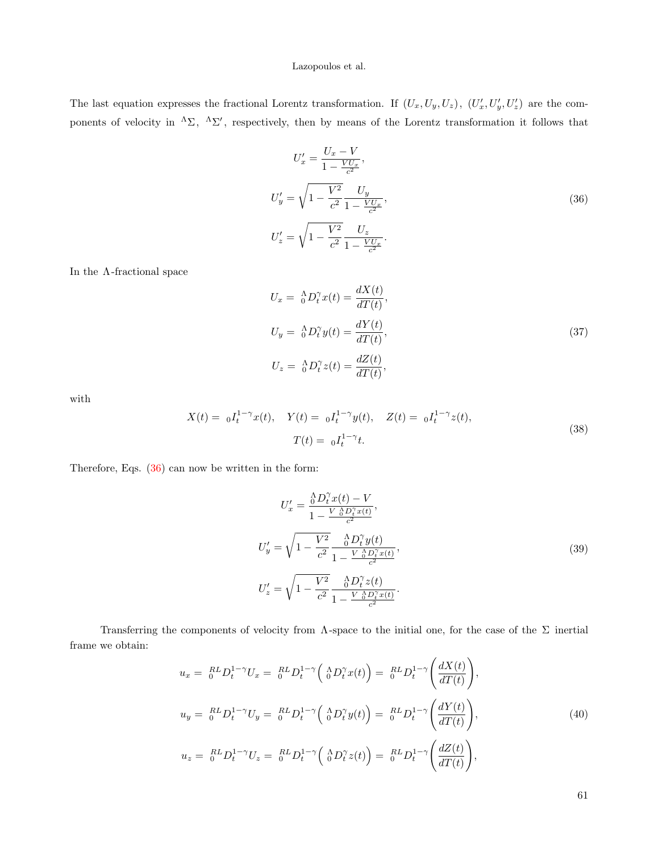<span id="page-7-0"></span>The last equation expresses the fractional Lorentz transformation. If  $(U_x, U_y, U_z)$ ,  $(U'_x, U'_y, U'_z)$  are the components of velocity in  $^{\Lambda}\Sigma$ ,  $^{\Lambda}\Sigma'$ , respectively, then by means of the Lorentz transformation it follows that

$$
U'_{x} = \frac{U_{x} - V}{1 - \frac{VU_{x}}{c^{2}}},
$$
  
\n
$$
U'_{y} = \sqrt{1 - \frac{V^{2}}{c^{2}} \frac{U_{y}}{1 - \frac{VU_{x}}{c^{2}}}},
$$
  
\n
$$
U'_{z} = \sqrt{1 - \frac{V^{2}}{c^{2}} \frac{U_{z}}{1 - \frac{VU_{x}}{c^{2}}}}.
$$
\n(36)

In the  $\Lambda\operatorname{-fractional}$  space

<span id="page-7-2"></span>
$$
U_x = \frac{\Lambda}{0} D_t^{\gamma} x(t) = \frac{dX(t)}{dT(t)},
$$
  
\n
$$
U_y = \frac{\Lambda}{0} D_t^{\gamma} y(t) = \frac{dY(t)}{dT(t)},
$$
  
\n
$$
U_z = \frac{\Lambda}{0} D_t^{\gamma} z(t) = \frac{dZ(t)}{dT(t)},
$$
\n(37)

<span id="page-7-3"></span>with

$$
X(t) = {}_0I_t^{1-\gamma}x(t), \quad Y(t) = {}_0I_t^{1-\gamma}y(t), \quad Z(t) = {}_0I_t^{1-\gamma}z(t),
$$
  

$$
T(t) = {}_0I_t^{1-\gamma}t.
$$
 (38)

Therefore, Eqs. [\(36\)](#page-7-0) can now be written in the form:

<span id="page-7-1"></span>
$$
U'_{x} = \frac{\stackrel{\Lambda}{0} D_{t}^{\gamma} x(t) - V}{1 - \frac{V}{c^{2}} \stackrel{\Lambda}{0} D_{t}^{\gamma} x(t)},
$$
  
\n
$$
U'_{y} = \sqrt{1 - \frac{V^{2}}{c^{2}}} \frac{\stackrel{\Lambda}{0} D_{t}^{\gamma} y(t)}{1 - \frac{V}{c^{2}} \stackrel{\Lambda}{0} D_{t}^{\gamma} x(t)},
$$
  
\n
$$
U'_{z} = \sqrt{1 - \frac{V^{2}}{c^{2}}} \frac{\stackrel{\Lambda}{0} D_{t}^{\gamma} z(t)}{1 - \frac{V}{c^{2}} \stackrel{\Lambda}{0} D_{t}^{\gamma} x(t)}.
$$
\n(39)

Transferring the components of velocity from  $\Lambda$ -space to the initial one, for the case of the  $\Sigma$  inertial frame we obtain:

$$
u_x = {}_{0}^{RL}D_t^{1-\gamma}U_x = {}_{0}^{RL}D_t^{1-\gamma} \left( {}_{0}^{\Lambda}D_t^{\gamma}x(t) \right) = {}_{0}^{RL}D_t^{1-\gamma} \left( \frac{dX(t)}{dT(t)} \right),
$$
  
\n
$$
u_y = {}_{0}^{RL}D_t^{1-\gamma}U_y = {}_{0}^{RL}D_t^{1-\gamma} \left( {}_{0}^{\Lambda}D_t^{\gamma}y(t) \right) = {}_{0}^{RL}D_t^{1-\gamma} \left( \frac{dY(t)}{dT(t)} \right),
$$
  
\n
$$
u_z = {}_{0}^{RL}D_t^{1-\gamma}U_z = {}_{0}^{RL}D_t^{1-\gamma} \left( {}_{0}^{\Lambda}D_t^{\gamma}z(t) \right) = {}_{0}^{RL}D_t^{1-\gamma} \left( \frac{dZ(t)}{dT(t)} \right),
$$
\n(40)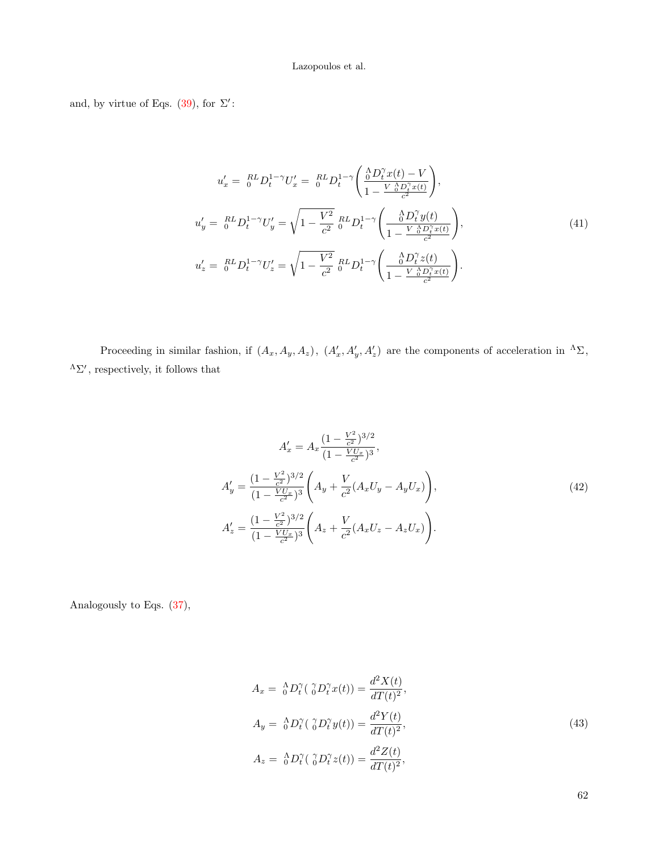and, by virtue of Eqs.  $(39)$ , for  $\Sigma'$ :

$$
u'_{x} = {}_{0}^{RL} D_{t}^{1-\gamma} U'_{x} = {}_{0}^{RL} D_{t}^{1-\gamma} \left( \frac{\Lambda}{1 - \frac{V}{\Lambda} \frac{\Lambda}{\Lambda} D_{t}^{\gamma} x(t)} \right),
$$
  
\n
$$
u'_{y} = {}_{0}^{RL} D_{t}^{1-\gamma} U'_{y} = \sqrt{1 - \frac{V^{2}}{c^{2}}} {}_{0}^{RL} D_{t}^{1-\gamma} \left( \frac{\Lambda}{1 - \frac{V}{\Lambda} \frac{\Lambda}{\Lambda} D_{t}^{\gamma} y(t)} \right),
$$
  
\n
$$
u'_{z} = {}_{0}^{RL} D_{t}^{1-\gamma} U'_{z} = \sqrt{1 - \frac{V^{2}}{c^{2}}} {}_{0}^{RL} D_{t}^{1-\gamma} \left( \frac{\Lambda}{1 - \frac{V}{\Lambda} \frac{\Lambda}{\Lambda} D_{t}^{\gamma} z(t)} \right).
$$
\n(41)

Proceeding in similar fashion, if  $(A_x, A_y, A_z)$ ,  $(A'_x, A'_y, A'_z)$  are the components of acceleration in  ${}^{\Lambda}\Sigma$ ,  ${}^{\Lambda}\Sigma'$ , respectively, it follows that

<span id="page-8-0"></span>
$$
A'_x = A_x \frac{\left(1 - \frac{V^2}{c^2}\right)^{3/2}}{\left(1 - \frac{VU_x}{c^2}\right)^3},
$$
  
\n
$$
A'_y = \frac{\left(1 - \frac{V^2}{c^2}\right)^{3/2}}{\left(1 - \frac{VU_x}{c^2}\right)^3} \left(A_y + \frac{V}{c^2}(A_xU_y - A_yU_x)\right),
$$
  
\n
$$
A'_z = \frac{\left(1 - \frac{V^2}{c^2}\right)^{3/2}}{\left(1 - \frac{VU_x}{c^2}\right)^3} \left(A_z + \frac{V}{c^2}(A_xU_z - A_zU_x)\right).
$$
\n(42)

Analogously to Eqs.  $(37)$ ,

$$
A_x = \frac{\Lambda}{0} D_t^{\gamma} (\frac{\gamma}{0} D_t^{\gamma} x(t)) = \frac{d^2 X(t)}{dT(t)^2},
$$
  
\n
$$
A_y = \frac{\Lambda}{0} D_t^{\gamma} (\frac{\gamma}{0} D_t^{\gamma} y(t)) = \frac{d^2 Y(t)}{dT(t)^2},
$$
  
\n
$$
A_z = \frac{\Lambda}{0} D_t^{\gamma} (\frac{\gamma}{0} D_t^{\gamma} z(t)) = \frac{d^2 Z(t)}{dT(t)^2},
$$
\n(43)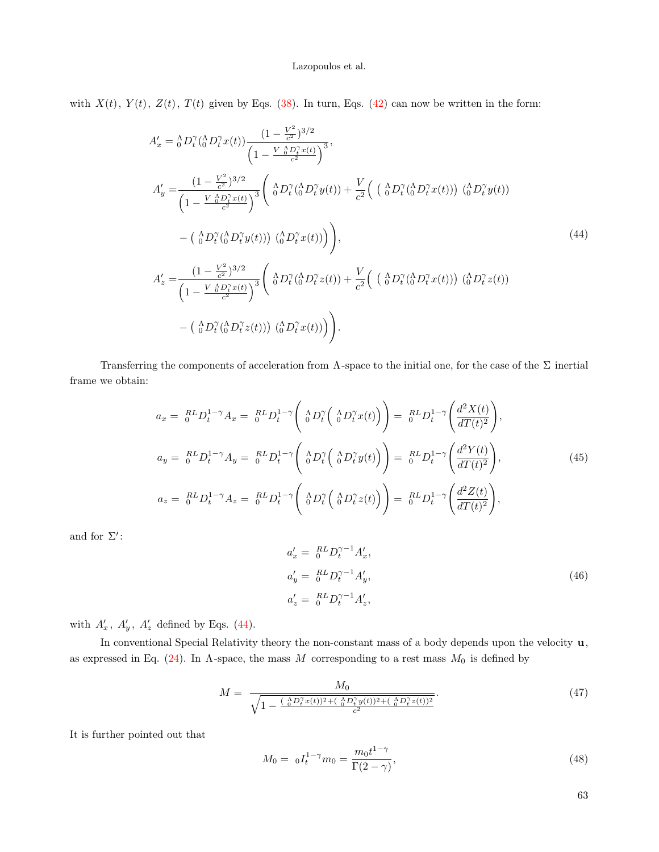with  $X(t)$ ,  $Y(t)$ ,  $Z(t)$ ,  $T(t)$  given by Eqs. [\(38\)](#page-7-3). In turn, Eqs. [\(42\)](#page-8-0) can now be written in the form:

<span id="page-9-0"></span>
$$
A'_{x} = \stackrel{\Lambda}{0} D_{t}^{\gamma} (\stackrel{\Lambda}{0} D_{t}^{\gamma} x(t)) \frac{\left(1 - \frac{V^{2}}{c^{2}}\right)^{3/2}}{\left(1 - \frac{V^{2}}{c^{2}}\right)^{3/2}} \left(1 - \frac{V^{2}}{c^{2}}\right)^{3/2}
$$
\n
$$
A'_{y} = \frac{\left(1 - \frac{V^{2}}{c^{2}}\right)^{3/2}}{\left(1 - \frac{V^{2}}{c^{2}}\right)^{3/2}} \left(\stackrel{\Lambda}{0} D_{t}^{\gamma} (\stackrel{\Lambda}{0} D_{t}^{\gamma} y(t)) + \frac{V}{c^{2}} \left(\stackrel{\Lambda}{0} D_{t}^{\gamma} (\stackrel{\Lambda}{0} D_{t}^{\gamma} x(t))\right) (\stackrel{\Lambda}{0} D_{t}^{\gamma} y(t)) - \left(\stackrel{\Lambda}{0} D_{t}^{\gamma} (\stackrel{\Lambda}{0} D_{t}^{\gamma} y(t))\right) (\stackrel{\Lambda}{0} D_{t}^{\gamma} x(t))\right)\right),
$$
\n
$$
A'_{z} = \frac{\left(1 - \frac{V^{2}}{c^{2}}\right)^{3/2}}{\left(1 - \frac{V^{2}}{c^{2}}\right)^{3/2}} \left(\stackrel{\Lambda}{0} D_{t}^{\gamma} (\stackrel{\Lambda}{0} D_{t}^{\gamma} z(t)) + \frac{V}{c^{2}} \left(\stackrel{\Lambda}{0} D_{t}^{\gamma} (\stackrel{\Lambda}{0} D_{t}^{\gamma} x(t))\right) (\stackrel{\Lambda}{0} D_{t}^{\gamma} z(t)) - \left(\stackrel{\Lambda}{0} D_{t}^{\gamma} (\stackrel{\Lambda}{0} D_{t}^{\gamma} z(t))\right) (\stackrel{\Lambda}{0} D_{t}^{\gamma} x(t))\right)\right).
$$
\n
$$
(44)
$$

Transferring the components of acceleration from  $\Lambda$ -space to the initial one, for the case of the  $\Sigma$  inertial frame we obtain:

$$
a_x = {}_{0}^{RL}D_t^{1-\gamma}A_x = {}_{0}^{RL}D_t^{1-\gamma} \left( {}_{0}^{\Lambda}D_t^{\gamma} \left( {}_{0}^{\Lambda}D_t^{\gamma}x(t) \right) \right) = {}_{0}^{RL}D_t^{1-\gamma} \left( \frac{d^2X(t)}{dT(t)^2} \right),
$$
  
\n
$$
a_y = {}_{0}^{RL}D_t^{1-\gamma}A_y = {}_{0}^{RL}D_t^{1-\gamma} \left( {}_{0}^{\Lambda}D_t^{\gamma} \left( {}_{0}^{\Lambda}D_t^{\gamma}y(t) \right) \right) = {}_{0}^{RL}D_t^{1-\gamma} \left( \frac{d^2Y(t)}{dT(t)^2} \right),
$$
  
\n
$$
a_z = {}_{0}^{RL}D_t^{1-\gamma}A_z = {}_{0}^{RL}D_t^{1-\gamma} \left( {}_{0}^{\Lambda}D_t^{\gamma} \left( {}_{0}^{\Lambda}D_t^{\gamma}z(t) \right) \right) = {}_{0}^{RL}D_t^{1-\gamma} \left( \frac{d^2Z(t)}{dT(t)^2} \right),
$$
  
\n(45)

and for  $\Sigma'$ :

$$
a'_{x} = {}_{0}^{RL} D_{t}^{\gamma - 1} A'_{x},
$$
  
\n
$$
a'_{y} = {}_{0}^{RL} D_{t}^{\gamma - 1} A'_{y},
$$
  
\n
$$
a'_{z} = {}_{0}^{RL} D_{t}^{\gamma - 1} A'_{z},
$$
\n(46)

with  $A'_x$ ,  $A'_y$ ,  $A'_z$  defined by Eqs. [\(44\)](#page-9-0).

In conventional Special Relativity theory the non-constant mass of a body depends upon the velocity  $\mathbf u$ , as expressed in Eq. [\(24\)](#page-5-0). In  $\Lambda$ -space, the mass M corresponding to a rest mass  $M_0$  is defined by

$$
M = \frac{M_0}{\sqrt{1 - \frac{(\Lambda D_t^{\gamma} x(t))^2 + (\Lambda D_t^{\gamma} y(t))^2 + (\Lambda D_t^{\gamma} z(t))^2}{c^2}}}.
$$
(47)

It is further pointed out that

$$
M_0 = 0 I_t^{1-\gamma} m_0 = \frac{m_0 t^{1-\gamma}}{\Gamma(2-\gamma)},
$$
\n(48)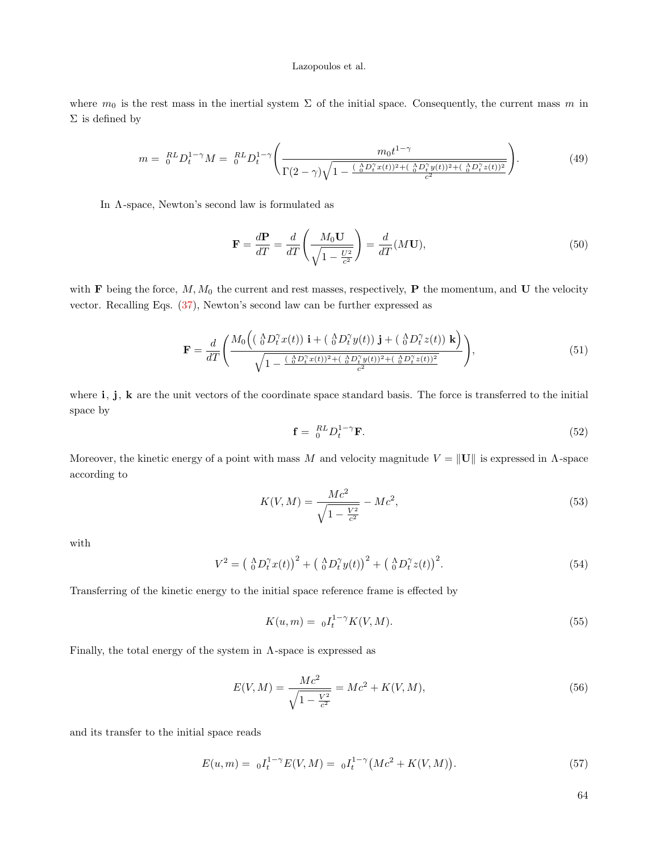where  $m_0$  is the rest mass in the inertial system  $\Sigma$  of the initial space. Consequently, the current mass m in  $Σ$  is defined by

$$
m = \, _0^{RL} D_t^{1-\gamma} M = \, _0^{RL} D_t^{1-\gamma} \Bigg( \frac{m_0 t^{1-\gamma}}{\Gamma(2-\gamma)\sqrt{1 - \frac{(\, _0^A D_t^{\gamma} x(t))^2 + (\, _0^A D_t^{\gamma} y(t))^2 + (\, _0^A D_t^{\gamma} z(t))^2}{c^2}} \Bigg). \tag{49}
$$

In  $\Lambda$ -space, Newton's second law is formulated as

$$
\mathbf{F} = \frac{d\mathbf{P}}{dT} = \frac{d}{dT} \left( \frac{M_0 \mathbf{U}}{\sqrt{1 - \frac{U^2}{c^2}}} \right) = \frac{d}{dT} (M \mathbf{U}),\tag{50}
$$

with **F** being the force,  $M, M_0$  the current and rest masses, respectively, **P** the momentum, and **U** the velocity vector. Recalling Eqs. [\(37\)](#page-7-2), Newton's second law can be further expressed as

$$
\mathbf{F} = \frac{d}{dT} \left( \frac{M_0 \left( \left( \begin{array}{c} \Lambda \ D_t^{\gamma} x(t) \right) \mathbf{i} + \left( \begin{array}{c} \Lambda \ D_t^{\gamma} y(t) \right) \mathbf{j} + \left( \begin{array}{c} \Lambda \ D_t^{\gamma} z(t) \end{array} \mathbf{k} \right) \right)}{\sqrt{1 - \frac{\left( \begin{array}{c} \Lambda \ D_t^{\gamma} x(t) \right)^2 + \left( \begin{array}{c} \Lambda \ D_t^{\gamma} y(t) \right)^2 + \left( \begin{array}{c} \Lambda \ D_t^{\gamma} z(t) \right)^2 \end{array} \right)}}{c^2}} \right), \tag{51}
$$

where **i**, **j**, **k** are the unit vectors of the coordinate space standard basis. The force is transferred to the initial space by

$$
\mathbf{f} = \, _0^{RL} D_t^{1-\gamma} \mathbf{F}.\tag{52}
$$

Moreover, the kinetic energy of a point with mass M and velocity magnitude  $V = ||\mathbf{U}||$  is expressed in Λ-space according to

$$
K(V, M) = \frac{Mc^2}{\sqrt{1 - \frac{V^2}{c^2}}} - Mc^2,
$$
\n(53)

with

$$
V^2 = \left(\begin{array}{c} \Lambda \, D_t^{\gamma} x(t) \end{array}\right)^2 + \left(\begin{array}{c} \Lambda \, D_t^{\gamma} y(t) \end{array}\right)^2 + \left(\begin{array}{c} \Lambda \, D_t^{\gamma} z(t) \end{array}\right)^2. \tag{54}
$$

Transferring of the kinetic energy to the initial space reference frame is effected by

$$
K(u,m) = {}_0I_t^{1-\gamma}K(V,M).
$$
\n(55)

Finally, the total energy of the system in  $\Lambda$ -space is expressed as

$$
E(V, M) = \frac{Mc^2}{\sqrt{1 - \frac{V^2}{c^2}}} = Mc^2 + K(V, M),
$$
\n(56)

and its transfer to the initial space reads

$$
E(u,m) = {}_0I_t^{1-\gamma} E(V,M) = {}_0I_t^{1-\gamma} \big(Mc^2 + K(V,M)\big). \tag{57}
$$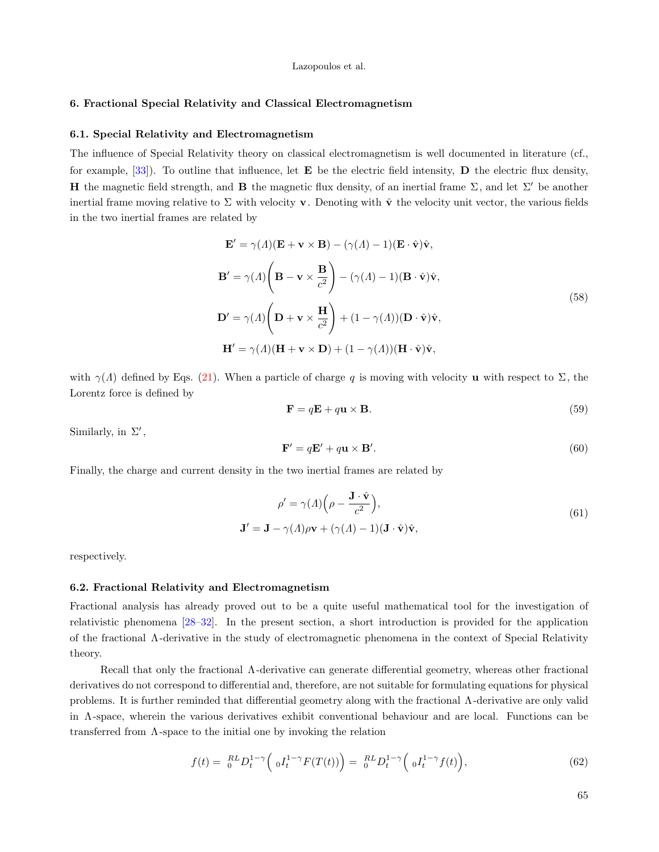### 6. Fractional Special Relativity and Classical Electromagnetism

### 6.1. Special Relativity and Electromagnetism

The influence of Special Relativity theory on classical electromagnetism is well documented in literature (cf., for example,  $[33]$ . To outline that influence, let **E** be the electric field intensity, **D** the electric flux density, H the magnetic field strength, and B the magnetic flux density, of an inertial frame  $\Sigma$ , and let  $\Sigma'$  be another inertial frame moving relative to  $\Sigma$  with velocity **v**. Denoting with  $\hat{\mathbf{v}}$  the velocity unit vector, the various fields in the two inertial frames are related by

<span id="page-11-0"></span>
$$
\mathbf{E}' = \gamma(A)(\mathbf{E} + \mathbf{v} \times \mathbf{B}) - (\gamma(A) - 1)(\mathbf{E} \cdot \hat{\mathbf{v}})\hat{\mathbf{v}},
$$
  
\n
$$
\mathbf{B}' = \gamma(A)\left(\mathbf{B} - \mathbf{v} \times \frac{\mathbf{B}}{c^2}\right) - (\gamma(A) - 1)(\mathbf{B} \cdot \hat{\mathbf{v}})\hat{\mathbf{v}},
$$
  
\n
$$
\mathbf{D}' = \gamma(A)\left(\mathbf{D} + \mathbf{v} \times \frac{\mathbf{H}}{c^2}\right) + (1 - \gamma(A))(\mathbf{D} \cdot \hat{\mathbf{v}})\hat{\mathbf{v}},
$$
  
\n
$$
\mathbf{H}' = \gamma(A)(\mathbf{H} + \mathbf{v} \times \mathbf{D}) + (1 - \gamma(A))(\mathbf{H} \cdot \hat{\mathbf{v}})\hat{\mathbf{v}},
$$
 (58)

with  $\gamma(\Lambda)$  defined by Eqs. [\(21\)](#page-4-0). When a particle of charge q is moving with velocity u with respect to  $\Sigma$ , the Lorentz force is defined by

<span id="page-11-2"></span>
$$
\mathbf{F} = q\mathbf{E} + q\mathbf{u} \times \mathbf{B}.\tag{59}
$$

<span id="page-11-4"></span>Similarly, in  $\Sigma'$ ,

<span id="page-11-1"></span>
$$
\mathbf{F}' = q\mathbf{E}' + q\mathbf{u} \times \mathbf{B}'.\tag{60}
$$

Finally, the charge and current density in the two inertial frames are related by

$$
\rho' = \gamma(A) \left( \rho - \frac{\mathbf{J} \cdot \hat{\mathbf{v}}}{c^2} \right),
$$
  

$$
\mathbf{J}' = \mathbf{J} - \gamma(A) \rho \mathbf{v} + (\gamma(A) - 1)(\mathbf{J} \cdot \hat{\mathbf{v}}) \hat{\mathbf{v}},
$$
 (61)

respectively.

### 6.2. Fractional Relativity and Electromagnetism

Fractional analysis has already proved out to be a quite useful mathematical tool for the investigation of relativistic phenomena [\[28–](#page-13-21)[32\]](#page-14-1). In the present section, a short introduction is provided for the application of the fractional Λ -derivative in the study of electromagnetic phenomena in the context of Special Relativity theory.

Recall that only the fractional  $\Lambda$ -derivative can generate differential geometry, whereas other fractional derivatives do not correspond to differential and, therefore, are not suitable for formulating equations for physical problems. It is further reminded that differential geometry along with the fractional Λ -derivative are only valid in Λ -space, wherein the various derivatives exhibit conventional behaviour and are local. Functions can be transferred from  $\Lambda$ -space to the initial one by invoking the relation

<span id="page-11-3"></span>
$$
f(t) = \binom{RL}{0} D_t^{1-\gamma} \left( \left( \int_t^{1-\gamma} F(T(t)) \right) = \binom{RL}{0} D_t^{1-\gamma} \left( \int_t^{1-\gamma} f(t) \right), \tag{62}
$$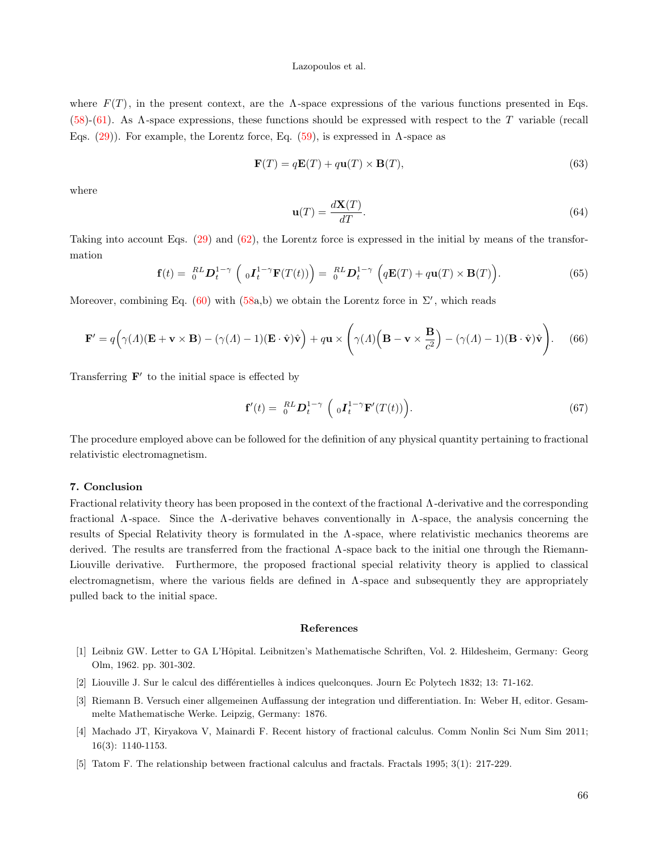where  $F(T)$ , in the present context, are the Λ-space expressions of the various functions presented in Eqs.  $(58)-(61)$  $(58)-(61)$  $(58)-(61)$ . As  $\Lambda$ -space expressions, these functions should be expressed with respect to the T variable (recall Eqs.  $(29)$ ). For example, the Lorentz force, Eq.  $(59)$ , is expressed in Λ-space as

$$
\mathbf{F}(T) = q\mathbf{E}(T) + q\mathbf{u}(T) \times \mathbf{B}(T),\tag{63}
$$

where

$$
\mathbf{u}(T) = \frac{d\mathbf{X}(T)}{dT}.\tag{64}
$$

Taking into account Eqs. [\(29\)](#page-6-2) and [\(62\)](#page-11-3), the Lorentz force is expressed in the initial by means of the transformation

$$
\mathbf{f}(t) = \, _0^{RL} \mathbf{D}_t^{1-\gamma} \left( \, _0 \mathbf{I}_t^{1-\gamma} \mathbf{F}(T(t)) \right) = \, _0^{RL} \mathbf{D}_t^{1-\gamma} \left( q\mathbf{E}(T) + q\mathbf{u}(T) \times \mathbf{B}(T) \right). \tag{65}
$$

Moreover, combining Eq.  $(60)$  with  $(58a,b)$  we obtain the Lorentz force in  $\Sigma'$ , which reads

$$
\mathbf{F}' = q(\gamma(A)(\mathbf{E} + \mathbf{v} \times \mathbf{B}) - (\gamma(A) - 1)(\mathbf{E} \cdot \hat{\mathbf{v}})\hat{\mathbf{v}} + q\mathbf{u} \times \left(\gamma(A)\Big(\mathbf{B} - \mathbf{v} \times \frac{\mathbf{B}}{c^2}\Big) - (\gamma(A) - 1)(\mathbf{B} \cdot \hat{\mathbf{v}})\hat{\mathbf{v}}\right).
$$
 (66)

Transferring  $\mathbf{F}'$  to the initial space is effected by

$$
\mathbf{f}'(t) = \, _0^{RL} \mathbf{D}_t^{1-\gamma} \left( \, _0 \mathbf{I}_t^{1-\gamma} \mathbf{F}'(T(t)) \right). \tag{67}
$$

The procedure employed above can be followed for the definition of any physical quantity pertaining to fractional relativistic electromagnetism.

### 7. Conclusion

Fractional relativity theory has been proposed in the context of the fractional Λ -derivative and the corresponding fractional  $\Lambda$ -space. Since the  $\Lambda$ -derivative behaves conventionally in  $\Lambda$ -space, the analysis concerning the results of Special Relativity theory is formulated in the Λ -space, where relativistic mechanics theorems are derived. The results are transferred from the fractional Λ -space back to the initial one through the Riemann-Liouville derivative. Furthermore, the proposed fractional special relativity theory is applied to classical electromagnetism, where the various fields are defined in  $\Lambda$ -space and subsequently they are appropriately pulled back to the initial space.

### References

- <span id="page-12-0"></span>[1] Leibniz GW. Letter to GA L'Hˆopital. Leibnitzen's Mathematische Schriften, Vol. 2. Hildesheim, Germany: Georg Olm, 1962. pp. 301-302.
- <span id="page-12-1"></span>[2] Liouville J. Sur le calcul des différentielles à indices quelconques. Journ Ec Polytech 1832; 13: 71-162.
- <span id="page-12-2"></span>[3] Riemann B. Versuch einer allgemeinen Auffassung der integration und differentiation. In: Weber H, editor. Gesammelte Mathematische Werke. Leipzig, Germany: 1876.
- <span id="page-12-3"></span>[4] Machado JT, Kiryakova V, Mainardi F. Recent history of fractional calculus. Comm Nonlin Sci Num Sim 2011; 16(3): 1140-1153.
- <span id="page-12-4"></span>[5] Tatom F. The relationship between fractional calculus and fractals. Fractals 1995; 3(1): 217-229.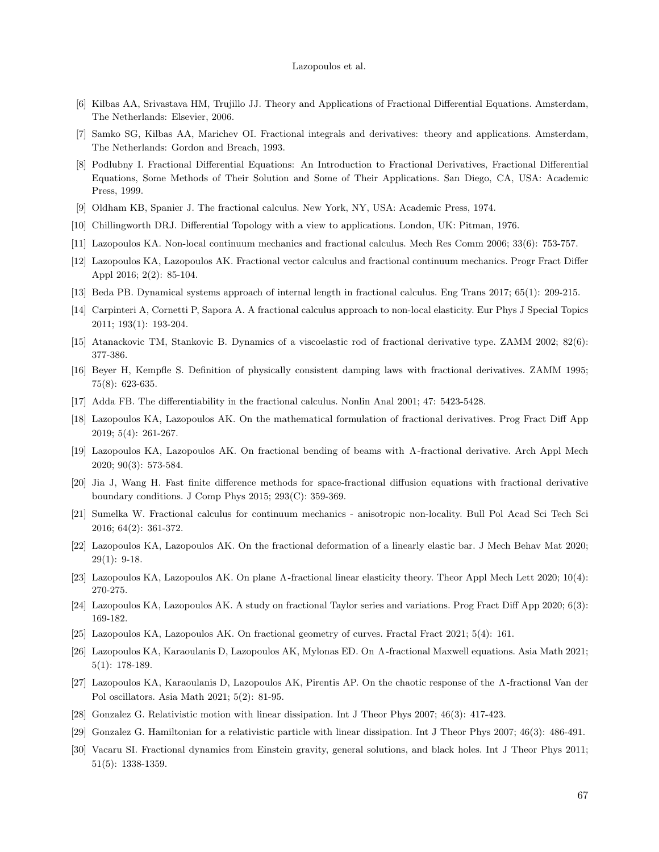- <span id="page-13-0"></span>[6] Kilbas AA, Srivastava HM, Trujillo JJ. Theory and Applications of Fractional Differential Equations. Amsterdam, The Netherlands: Elsevier, 2006.
- [7] Samko SG, Kilbas AA, Marichev OI. Fractional integrals and derivatives: theory and applications. Amsterdam, The Netherlands: Gordon and Breach, 1993.
- <span id="page-13-10"></span>[8] Podlubny I. Fractional Differential Equations: An Introduction to Fractional Derivatives, Fractional Differential Equations, Some Methods of Their Solution and Some of Their Applications. San Diego, CA, USA: Academic Press, 1999.
- <span id="page-13-1"></span>[9] Oldham KB, Spanier J. The fractional calculus. New York, NY, USA: Academic Press, 1974.
- <span id="page-13-11"></span>[10] Chillingworth DRJ. Differential Topology with a view to applications. London, UK: Pitman, 1976.
- <span id="page-13-4"></span>[11] Lazopoulos KA. Non-local continuum mechanics and fractional calculus. Mech Res Comm 2006; 33(6): 753-757.
- <span id="page-13-5"></span>[12] Lazopoulos KA, Lazopoulos AK. Fractional vector calculus and fractional continuum mechanics. Progr Fract Differ Appl 2016; 2(2): 85-104.
- <span id="page-13-2"></span>[13] Beda PB. Dynamical systems approach of internal length in fractional calculus. Eng Trans 2017; 65(1): 209-215.
- <span id="page-13-6"></span>[14] Carpinteri A, Cornetti P, Sapora A. A fractional calculus approach to non-local elasticity. Eur Phys J Special Topics 2011; 193(1): 193-204.
- <span id="page-13-8"></span>[15] Atanackovic TM, Stankovic B. Dynamics of a viscoelastic rod of fractional derivative type. ZAMM 2002; 82(6): 377-386.
- <span id="page-13-9"></span>[16] Beyer H, Kempfle S. Definition of physically consistent damping laws with fractional derivatives. ZAMM 1995; 75(8): 623-635.
- <span id="page-13-12"></span>[17] Adda FB. The differentiability in the fractional calculus. Nonlin Anal 2001; 47: 5423-5428.
- <span id="page-13-13"></span>[18] Lazopoulos KA, Lazopoulos AK. On the mathematical formulation of fractional derivatives. Prog Fract Diff App 2019; 5(4): 261-267.
- <span id="page-13-16"></span>[19] Lazopoulos KA, Lazopoulos AK. On fractional bending of beams with Λ -fractional derivative. Arch Appl Mech 2020; 90(3): 573-584.
- <span id="page-13-3"></span>[20] Jia J, Wang H. Fast finite difference methods for space-fractional diffusion equations with fractional derivative boundary conditions. J Comp Phys 2015; 293(C): 359-369.
- <span id="page-13-7"></span>[21] Sumelka W. Fractional calculus for continuum mechanics - anisotropic non-locality. Bull Pol Acad Sci Tech Sci 2016; 64(2): 361-372.
- <span id="page-13-17"></span>[22] Lazopoulos KA, Lazopoulos AK. On the fractional deformation of a linearly elastic bar. J Mech Behav Mat 2020;  $29(1): 9-18.$
- <span id="page-13-18"></span>[23] Lazopoulos KA, Lazopoulos AK. On plane Λ -fractional linear elasticity theory. Theor Appl Mech Lett 2020; 10(4): 270-275.
- <span id="page-13-14"></span>[24] Lazopoulos KA, Lazopoulos AK. A study on fractional Taylor series and variations. Prog Fract Diff App 2020; 6(3): 169-182.
- <span id="page-13-15"></span>[25] Lazopoulos KA, Lazopoulos AK. On fractional geometry of curves. Fractal Fract 2021; 5(4): 161.
- <span id="page-13-19"></span>[26] Lazopoulos KA, Karaoulanis D, Lazopoulos AK, Mylonas ED. On Λ -fractional Maxwell equations. Asia Math 2021; 5(1): 178-189.
- <span id="page-13-20"></span>[27] Lazopoulos KA, Karaoulanis D, Lazopoulos AK, Pirentis AP. On the chaotic response of the Λ -fractional Van der Pol oscillators. Asia Math 2021; 5(2): 81-95.
- <span id="page-13-21"></span>[28] Gonzalez G. Relativistic motion with linear dissipation. Int J Theor Phys 2007; 46(3): 417-423.
- <span id="page-13-22"></span>[29] Gonzalez G. Hamiltonian for a relativistic particle with linear dissipation. Int J Theor Phys 2007; 46(3): 486-491.
- <span id="page-13-23"></span>[30] Vacaru SI. Fractional dynamics from Einstein gravity, general solutions, and black holes. Int J Theor Phys 2011; 51(5): 1338-1359.